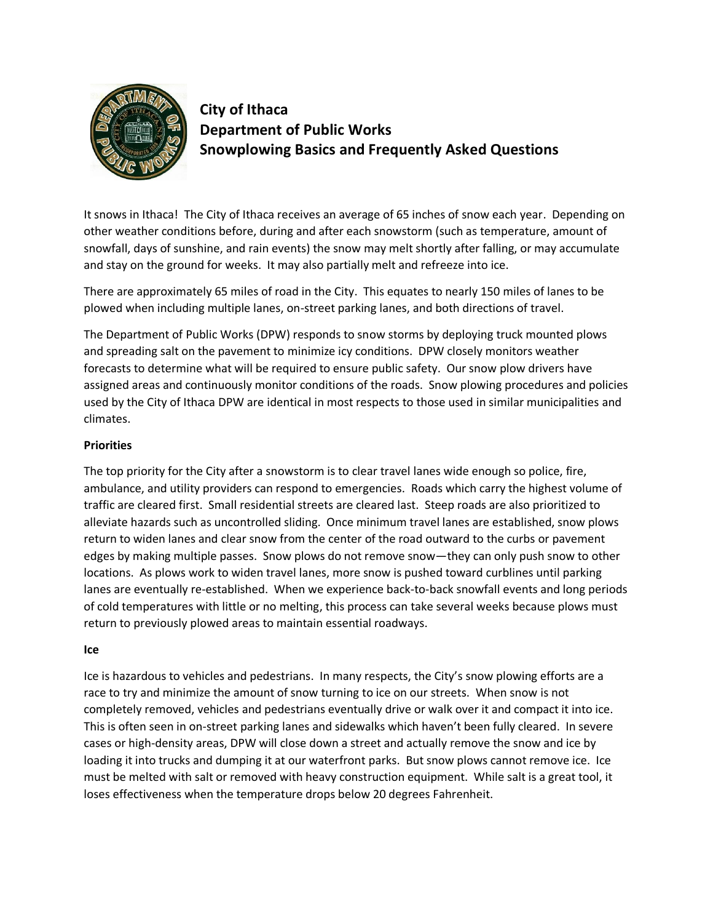

# **City of Ithaca Department of Public Works Snowplowing Basics and Frequently Asked Questions**

It snows in Ithaca! The City of Ithaca receives an average of 65 inches of snow each year. Depending on other weather conditions before, during and after each snowstorm (such as temperature, amount of snowfall, days of sunshine, and rain events) the snow may melt shortly after falling, or may accumulate and stay on the ground for weeks. It may also partially melt and refreeze into ice.

There are approximately 65 miles of road in the City. This equates to nearly 150 miles of lanes to be plowed when including multiple lanes, on-street parking lanes, and both directions of travel.

The Department of Public Works (DPW) responds to snow storms by deploying truck mounted plows and spreading salt on the pavement to minimize icy conditions. DPW closely monitors weather forecasts to determine what will be required to ensure public safety. Our snow plow drivers have assigned areas and continuously monitor conditions of the roads. Snow plowing procedures and policies used by the City of Ithaca DPW are identical in most respects to those used in similar municipalities and climates.

## **Priorities**

The top priority for the City after a snowstorm is to clear travel lanes wide enough so police, fire, ambulance, and utility providers can respond to emergencies. Roads which carry the highest volume of traffic are cleared first. Small residential streets are cleared last. Steep roads are also prioritized to alleviate hazards such as uncontrolled sliding. Once minimum travel lanes are established, snow plows return to widen lanes and clear snow from the center of the road outward to the curbs or pavement edges by making multiple passes. Snow plows do not remove snow—they can only push snow to other locations. As plows work to widen travel lanes, more snow is pushed toward curblines until parking lanes are eventually re-established. When we experience back-to-back snowfall events and long periods of cold temperatures with little or no melting, this process can take several weeks because plows must return to previously plowed areas to maintain essential roadways.

## **Ice**

Ice is hazardous to vehicles and pedestrians. In many respects, the City's snow plowing efforts are a race to try and minimize the amount of snow turning to ice on our streets. When snow is not completely removed, vehicles and pedestrians eventually drive or walk over it and compact it into ice. This is often seen in on-street parking lanes and sidewalks which haven't been fully cleared. In severe cases or high-density areas, DPW will close down a street and actually remove the snow and ice by loading it into trucks and dumping it at our waterfront parks. But snow plows cannot remove ice. Ice must be melted with salt or removed with heavy construction equipment. While salt is a great tool, it loses effectiveness when the temperature drops below 20 degrees Fahrenheit.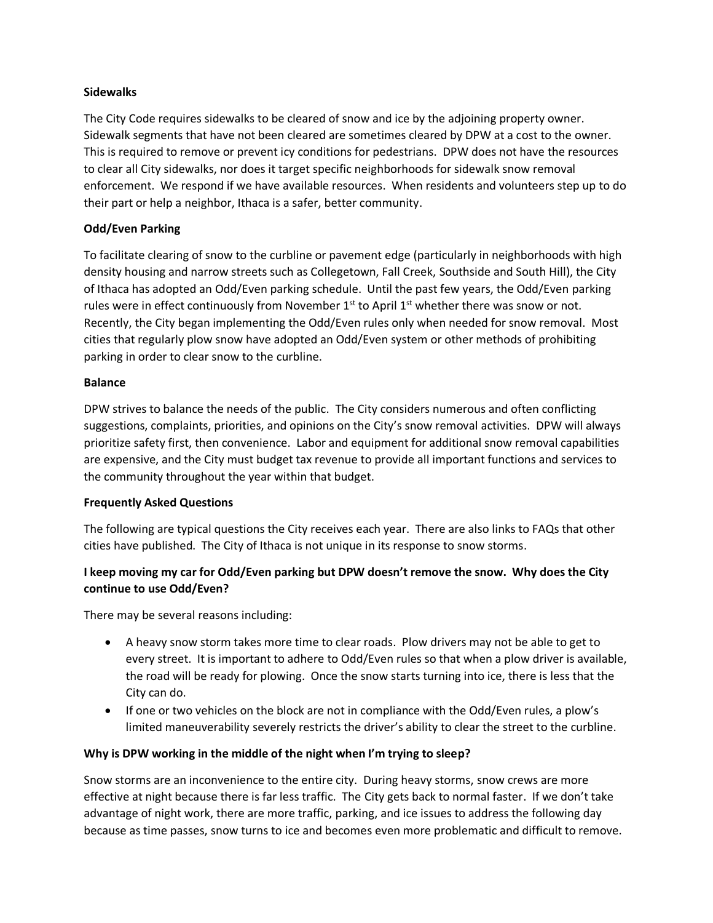## **Sidewalks**

The City Code requires sidewalks to be cleared of snow and ice by the adjoining property owner. Sidewalk segments that have not been cleared are sometimes cleared by DPW at a cost to the owner. This is required to remove or prevent icy conditions for pedestrians. DPW does not have the resources to clear all City sidewalks, nor does it target specific neighborhoods for sidewalk snow removal enforcement. We respond if we have available resources. When residents and volunteers step up to do their part or help a neighbor, Ithaca is a safer, better community.

## **Odd/Even Parking**

To facilitate clearing of snow to the curbline or pavement edge (particularly in neighborhoods with high density housing and narrow streets such as Collegetown, Fall Creek, Southside and South Hill), the City of Ithaca has adopted an Odd/Even parking schedule. Until the past few years, the Odd/Even parking rules were in effect continuously from November  $1<sup>st</sup>$  to April  $1<sup>st</sup>$  whether there was snow or not. Recently, the City began implementing the Odd/Even rules only when needed for snow removal. Most cities that regularly plow snow have adopted an Odd/Even system or other methods of prohibiting parking in order to clear snow to the curbline.

## **Balance**

DPW strives to balance the needs of the public. The City considers numerous and often conflicting suggestions, complaints, priorities, and opinions on the City's snow removal activities. DPW will always prioritize safety first, then convenience. Labor and equipment for additional snow removal capabilities are expensive, and the City must budget tax revenue to provide all important functions and services to the community throughout the year within that budget.

## **Frequently Asked Questions**

The following are typical questions the City receives each year. There are also links to FAQs that other cities have published. The City of Ithaca is not unique in its response to snow storms.

# **I keep moving my car for Odd/Even parking but DPW doesn't remove the snow. Why does the City continue to use Odd/Even?**

There may be several reasons including:

- A heavy snow storm takes more time to clear roads. Plow drivers may not be able to get to every street. It is important to adhere to Odd/Even rules so that when a plow driver is available, the road will be ready for plowing. Once the snow starts turning into ice, there is less that the City can do.
- If one or two vehicles on the block are not in compliance with the Odd/Even rules, a plow's limited maneuverability severely restricts the driver's ability to clear the street to the curbline.

## **Why is DPW working in the middle of the night when I'm trying to sleep?**

Snow storms are an inconvenience to the entire city. During heavy storms, snow crews are more effective at night because there is far less traffic. The City gets back to normal faster. If we don't take advantage of night work, there are more traffic, parking, and ice issues to address the following day because as time passes, snow turns to ice and becomes even more problematic and difficult to remove.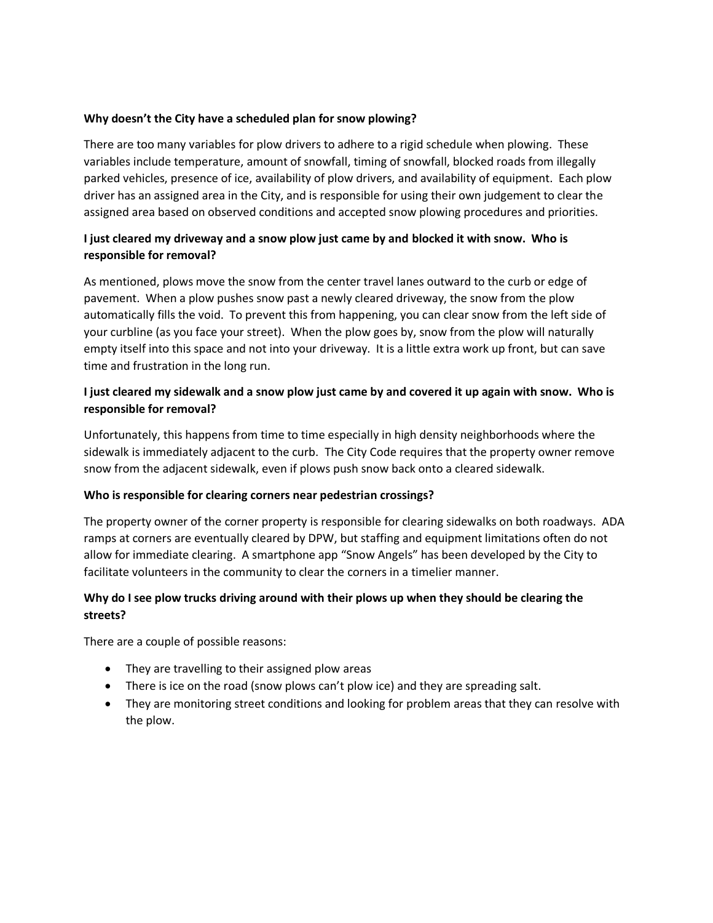## **Why doesn't the City have a scheduled plan for snow plowing?**

There are too many variables for plow drivers to adhere to a rigid schedule when plowing. These variables include temperature, amount of snowfall, timing of snowfall, blocked roads from illegally parked vehicles, presence of ice, availability of plow drivers, and availability of equipment. Each plow driver has an assigned area in the City, and is responsible for using their own judgement to clear the assigned area based on observed conditions and accepted snow plowing procedures and priorities.

## **I just cleared my driveway and a snow plow just came by and blocked it with snow. Who is responsible for removal?**

As mentioned, plows move the snow from the center travel lanes outward to the curb or edge of pavement. When a plow pushes snow past a newly cleared driveway, the snow from the plow automatically fills the void. To prevent this from happening, you can clear snow from the left side of your curbline (as you face your street). When the plow goes by, snow from the plow will naturally empty itself into this space and not into your driveway. It is a little extra work up front, but can save time and frustration in the long run.

# **I just cleared my sidewalk and a snow plow just came by and covered it up again with snow. Who is responsible for removal?**

Unfortunately, this happens from time to time especially in high density neighborhoods where the sidewalk is immediately adjacent to the curb. The City Code requires that the property owner remove snow from the adjacent sidewalk, even if plows push snow back onto a cleared sidewalk.

## **Who is responsible for clearing corners near pedestrian crossings?**

The property owner of the corner property is responsible for clearing sidewalks on both roadways. ADA ramps at corners are eventually cleared by DPW, but staffing and equipment limitations often do not allow for immediate clearing. A smartphone app "Snow Angels" has been developed by the City to facilitate volunteers in the community to clear the corners in a timelier manner.

# **Why do I see plow trucks driving around with their plows up when they should be clearing the streets?**

There are a couple of possible reasons:

- They are travelling to their assigned plow areas
- There is ice on the road (snow plows can't plow ice) and they are spreading salt.
- They are monitoring street conditions and looking for problem areas that they can resolve with the plow.